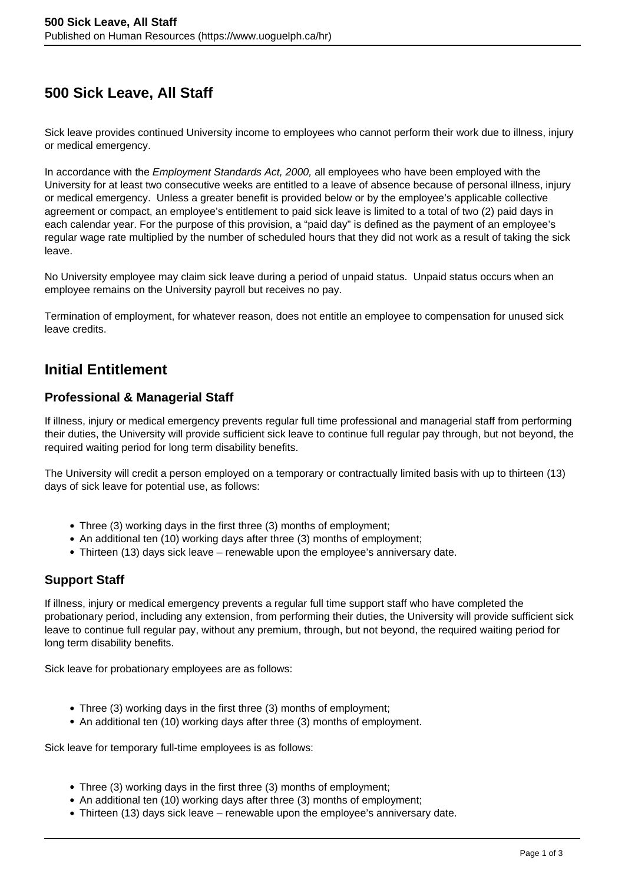# **500 Sick Leave, All Staff**

Sick leave provides continued University income to employees who cannot perform their work due to illness, injury or medical emergency.

In accordance with the *Employment Standards Act, 2000*, all employees who have been employed with the University for at least two consecutive weeks are entitled to a leave of absence because of personal illness, injury or medical emergency. Unless a greater benefit is provided below or by the employee's applicable collective agreement or compact, an employee's entitlement to paid sick leave is limited to a total of two (2) paid days in each calendar year. For the purpose of this provision, a "paid day" is defined as the payment of an employee's regular wage rate multiplied by the number of scheduled hours that they did not work as a result of taking the sick leave.

No University employee may claim sick leave during a period of unpaid status. Unpaid status occurs when an employee remains on the University payroll but receives no pay.

Termination of employment, for whatever reason, does not entitle an employee to compensation for unused sick leave credits.

### **Initial Entitlement**

#### **Professional & Managerial Staff**

If illness, injury or medical emergency prevents regular full time professional and managerial staff from performing their duties, the University will provide sufficient sick leave to continue full regular pay through, but not beyond, the required waiting period for long term disability benefits.

The University will credit a person employed on a temporary or contractually limited basis with up to thirteen (13) days of sick leave for potential use, as follows:

- Three (3) working days in the first three (3) months of employment;
- An additional ten (10) working days after three (3) months of employment:
- Thirteen (13) days sick leave renewable upon the employee's anniversary date.

### **Support Staff**

If illness, injury or medical emergency prevents a regular full time support staff who have completed the probationary period, including any extension, from performing their duties, the University will provide sufficient sick leave to continue full regular pay, without any premium, through, but not beyond, the required waiting period for long term disability benefits.

Sick leave for probationary employees are as follows:

- Three (3) working days in the first three (3) months of employment;
- An additional ten (10) working days after three (3) months of employment.

Sick leave for temporary full-time employees is as follows:

- Three (3) working days in the first three (3) months of employment;
- An additional ten (10) working days after three (3) months of employment:
- Thirteen (13) days sick leave renewable upon the employee's anniversary date.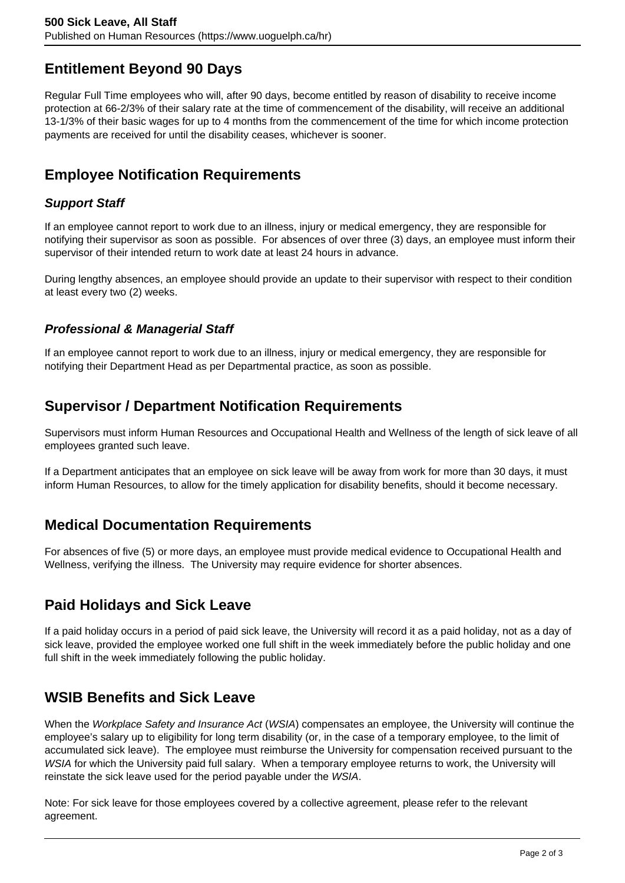# **Entitlement Beyond 90 Days**

Regular Full Time employees who will, after 90 days, become entitled by reason of disability to receive income protection at 66-2/3% of their salary rate at the time of commencement of the disability, will receive an additional 13-1/3% of their basic wages for up to 4 months from the commencement of the time for which income protection payments are received for until the disability ceases, whichever is sooner.

# **Employee Notification Requirements**

#### **Support Staff**

If an employee cannot report to work due to an illness, injury or medical emergency, they are responsible for notifying their supervisor as soon as possible. For absences of over three (3) days, an employee must inform their supervisor of their intended return to work date at least 24 hours in advance.

During lengthy absences, an employee should provide an update to their supervisor with respect to their condition at least every two (2) weeks.

#### **Professional & Managerial Staff**

If an employee cannot report to work due to an illness, injury or medical emergency, they are responsible for notifying their Department Head as per Departmental practice, as soon as possible.

## **Supervisor / Department Notification Requirements**

Supervisors must inform Human Resources and Occupational Health and Wellness of the length of sick leave of all employees granted such leave.

If a Department anticipates that an employee on sick leave will be away from work for more than 30 days, it must inform Human Resources, to allow for the timely application for disability benefits, should it become necessary.

### **Medical Documentation Requirements**

For absences of five (5) or more days, an employee must provide medical evidence to Occupational Health and Wellness, verifying the illness. The University may require evidence for shorter absences.

## **Paid Holidays and Sick Leave**

If a paid holiday occurs in a period of paid sick leave, the University will record it as a paid holiday, not as a day of sick leave, provided the employee worked one full shift in the week immediately before the public holiday and one full shift in the week immediately following the public holiday.

## **WSIB Benefits and Sick Leave**

When the Workplace Safety and Insurance Act (WSIA) compensates an employee, the University will continue the employee's salary up to eligibility for long term disability (or, in the case of a temporary employee, to the limit of accumulated sick leave). The employee must reimburse the University for compensation received pursuant to the WSIA for which the University paid full salary. When a temporary employee returns to work, the University will reinstate the sick leave used for the period payable under the WSIA.

Note: For sick leave for those employees covered by a collective agreement, please refer to the relevant agreement.